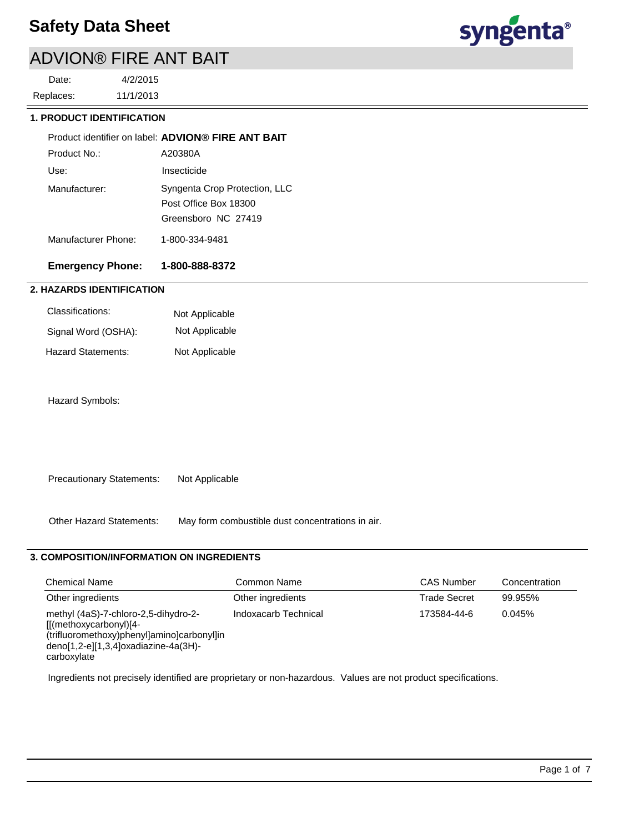# ADVION® FIRE ANT BAIT

11/1/2013 4/2/2015 Replaces: Date:



#### **1. PRODUCT IDENTIFICATION**

|                     | Product identifier on label: ADVION® FIRE ANT BAIT                            |
|---------------------|-------------------------------------------------------------------------------|
| Product No.:        | A20380A                                                                       |
| Use:                | Insecticide                                                                   |
| Manufacturer:       | Syngenta Crop Protection, LLC<br>Post Office Box 18300<br>Greensboro NC 27419 |
| Manufacturer Phone: | 1-800-334-9481                                                                |

## **Emergency Phone: 1-800-888-8372**

## **2. HAZARDS IDENTIFICATION**

| Classifications:    | Not Applicable |
|---------------------|----------------|
| Signal Word (OSHA): | Not Applicable |
| Hazard Statements:  | Not Applicable |

Hazard Symbols:

Precautionary Statements: Not Applicable

Other Hazard Statements: May form combustible dust concentrations in air.

### **3. COMPOSITION/INFORMATION ON INGREDIENTS**

| <b>Chemical Name</b>                                                                                                                                                  | Common Name          | <b>CAS Number</b>   | Concentration |
|-----------------------------------------------------------------------------------------------------------------------------------------------------------------------|----------------------|---------------------|---------------|
| Other ingredients                                                                                                                                                     | Other ingredients    | <b>Trade Secret</b> | 99.955%       |
| methyl (4aS)-7-chloro-2,5-dihydro-2-<br>$[[(methoxycarbonyl)]4-$<br>(trifluoromethoxy)phenyl]amino]carbonyl]in<br>deno[1,2-e][1,3,4]oxadiazine-4a(3H)-<br>carboxylate | Indoxacarb Technical | 173584-44-6         | 0.045%        |

Ingredients not precisely identified are proprietary or non-hazardous. Values are not product specifications.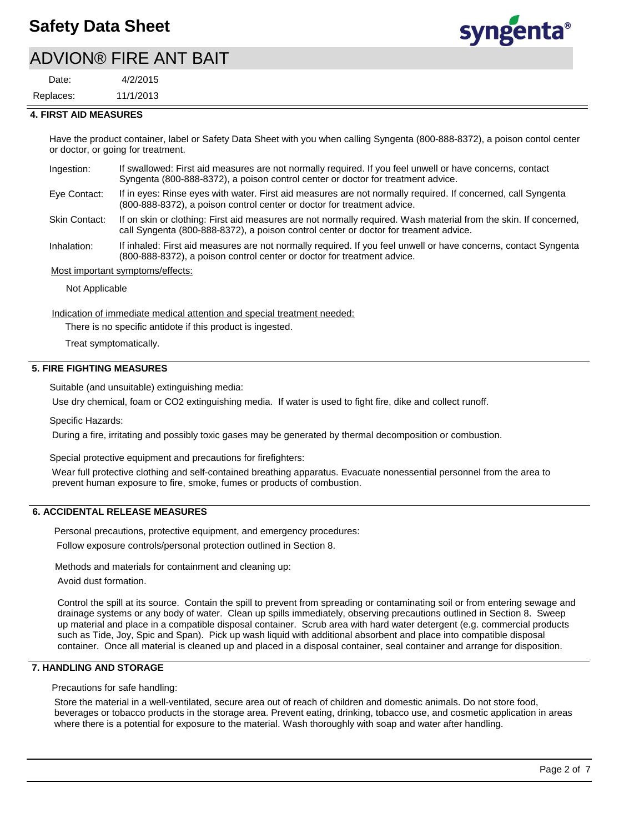## ADVION® FIRE ANT BAIT

11/1/2013 4/2/2015 Replaces: Date:



#### **4. FIRST AID MEASURES**

Have the product container, label or Safety Data Sheet with you when calling Syngenta (800-888-8372), a poison contol center or doctor, or going for treatment.

| Ingestion: | If swallowed: First aid measures are not normally required. If you feel unwell or have concerns, contact |
|------------|----------------------------------------------------------------------------------------------------------|
|            | Syngenta (800-888-8372), a poison control center or doctor for treatment advice.                         |

- If in eyes: Rinse eyes with water. First aid measures are not normally required. If concerned, call Syngenta (800-888-8372), a poison control center or doctor for treatment advice. Eye Contact:
- If on skin or clothing: First aid measures are not normally required. Wash material from the skin. If concerned, call Syngenta (800-888-8372), a poison control center or doctor for treament advice. Skin Contact:
- If inhaled: First aid measures are not normally required. If you feel unwell or have concerns, contact Syngenta (800-888-8372), a poison control center or doctor for treatment advice. Inhalation:

Most important symptoms/effects:

Not Applicable

Indication of immediate medical attention and special treatment needed:

There is no specific antidote if this product is ingested.

Treat symptomatically.

### **5. FIRE FIGHTING MEASURES**

Suitable (and unsuitable) extinguishing media:

Use dry chemical, foam or CO2 extinguishing media. If water is used to fight fire, dike and collect runoff.

Specific Hazards:

During a fire, irritating and possibly toxic gases may be generated by thermal decomposition or combustion.

Special protective equipment and precautions for firefighters:

Wear full protective clothing and self-contained breathing apparatus. Evacuate nonessential personnel from the area to prevent human exposure to fire, smoke, fumes or products of combustion.

#### **6. ACCIDENTAL RELEASE MEASURES**

Personal precautions, protective equipment, and emergency procedures:

Follow exposure controls/personal protection outlined in Section 8.

Methods and materials for containment and cleaning up:

Avoid dust formation.

Control the spill at its source. Contain the spill to prevent from spreading or contaminating soil or from entering sewage and drainage systems or any body of water. Clean up spills immediately, observing precautions outlined in Section 8. Sweep up material and place in a compatible disposal container. Scrub area with hard water detergent (e.g. commercial products such as Tide, Joy, Spic and Span). Pick up wash liquid with additional absorbent and place into compatible disposal container. Once all material is cleaned up and placed in a disposal container, seal container and arrange for disposition.

#### **7. HANDLING AND STORAGE**

Precautions for safe handling:

Store the material in a well-ventilated, secure area out of reach of children and domestic animals. Do not store food, beverages or tobacco products in the storage area. Prevent eating, drinking, tobacco use, and cosmetic application in areas where there is a potential for exposure to the material. Wash thoroughly with soap and water after handling.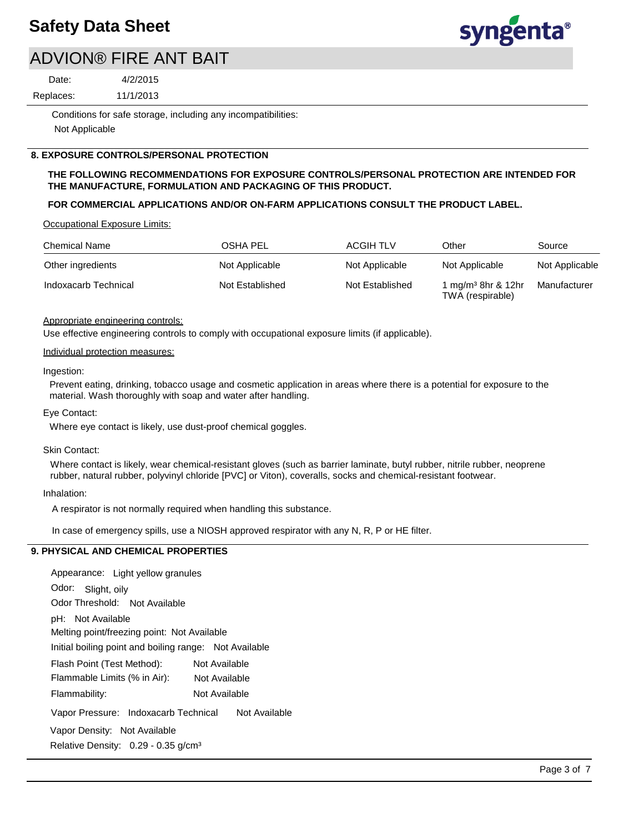

## ADVION® FIRE ANT BAIT

Date:

4/2/2015

11/1/2013 Replaces:

> Conditions for safe storage, including any incompatibilities: Not Applicable

### **8. EXPOSURE CONTROLS/PERSONAL PROTECTION**

#### **THE FOLLOWING RECOMMENDATIONS FOR EXPOSURE CONTROLS/PERSONAL PROTECTION ARE INTENDED FOR THE MANUFACTURE, FORMULATION AND PACKAGING OF THIS PRODUCT.**

### **FOR COMMERCIAL APPLICATIONS AND/OR ON-FARM APPLICATIONS CONSULT THE PRODUCT LABEL.**

Occupational Exposure Limits:

| <b>Chemical Name</b> | OSHA PEL        | <b>ACGIH TLV</b> | Other                                              | Source         |
|----------------------|-----------------|------------------|----------------------------------------------------|----------------|
| Other ingredients    | Not Applicable  | Not Applicable   | Not Applicable                                     | Not Applicable |
| Indoxacarb Technical | Not Established | Not Established  | 1 mg/m <sup>3</sup> 8hr & 12hr<br>TWA (respirable) | Manufacturer   |

#### Appropriate engineering controls:

Use effective engineering controls to comply with occupational exposure limits (if applicable).

#### Individual protection measures:

#### Ingestion:

Prevent eating, drinking, tobacco usage and cosmetic application in areas where there is a potential for exposure to the material. Wash thoroughly with soap and water after handling.

#### Eye Contact:

Where eye contact is likely, use dust-proof chemical goggles.

#### Skin Contact:

Where contact is likely, wear chemical-resistant gloves (such as barrier laminate, butyl rubber, nitrile rubber, neoprene rubber, natural rubber, polyvinyl chloride [PVC] or Viton), coveralls, socks and chemical-resistant footwear.

#### Inhalation:

A respirator is not normally required when handling this substance.

In case of emergency spills, use a NIOSH approved respirator with any N, R, P or HE filter.

#### **9. PHYSICAL AND CHEMICAL PROPERTIES**

Odor: Slight, oily Appearance: Light yellow granules Vapor Pressure: Indoxacarb Technical Not Available pH: Not Available Initial boiling point and boiling range: Not Available Melting point/freezing point: Not Available Odor Threshold: Not Available Not Available Flammability: Not Available Flash Point (Test Method): Not Available Flammable Limits (% in Air): Vapor Density: Not Available Relative Density: 0.29 - 0.35 g/cm<sup>3</sup>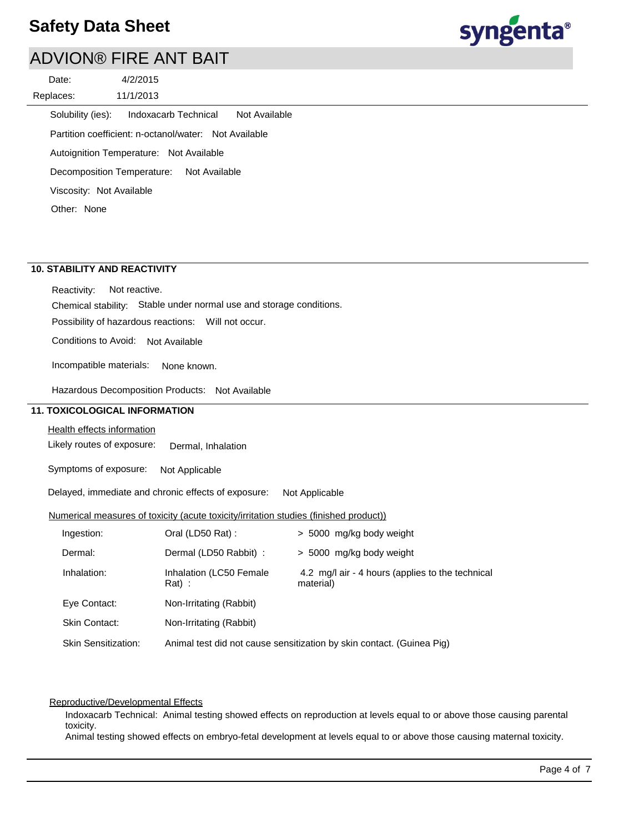

## ADVION® FIRE ANT BAIT

| Date:             |                                                       | 4/2/2015             |               |               |
|-------------------|-------------------------------------------------------|----------------------|---------------|---------------|
| Replaces:         |                                                       | 11/1/2013            |               |               |
| Solubility (ies): |                                                       | Indoxacarb Technical |               | Not Available |
|                   | Partition coefficient: n-octanol/water: Not Available |                      |               |               |
|                   | Autoignition Temperature: Not Available               |                      |               |               |
|                   | Decomposition Temperature:                            |                      | Not Available |               |
|                   | Viscosity: Not Available                              |                      |               |               |

Other: None

## **10. STABILITY AND REACTIVITY**

Reactivity: Not reactive.

Chemical stability: Stable under normal use and storage conditions.

Possibility of hazardous reactions: Will not occur.

Conditions to Avoid: Not Available

Incompatible materials: None known.

Hazardous Decomposition Products: Not Available

## **11. TOXICOLOGICAL INFORMATION**

Health effects information

Likely routes of exposure: Dermal, Inhalation

Symptoms of exposure: Not Applicable

Delayed, immediate and chronic effects of exposure: Not Applicable

#### Numerical measures of toxicity (acute toxicity/irritation studies (finished product))

| Ingestion:                 | Oral (LD50 Rat):                    | > 5000 mg/kg body weight                                              |
|----------------------------|-------------------------------------|-----------------------------------------------------------------------|
| Dermal:                    | Dermal (LD50 Rabbit) :              | > 5000 mg/kg body weight                                              |
| Inhalation:                | Inhalation (LC50 Female<br>$Rat)$ : | 4.2 mg/l air - 4 hours (applies to the technical<br>material)         |
| Eye Contact:               | Non-Irritating (Rabbit)             |                                                                       |
| Skin Contact:              | Non-Irritating (Rabbit)             |                                                                       |
| <b>Skin Sensitization:</b> |                                     | Animal test did not cause sensitization by skin contact. (Guinea Pig) |

#### Reproductive/Developmental Effects

Indoxacarb Technical: Animal testing showed effects on reproduction at levels equal to or above those causing parental toxicity.

Animal testing showed effects on embryo-fetal development at levels equal to or above those causing maternal toxicity.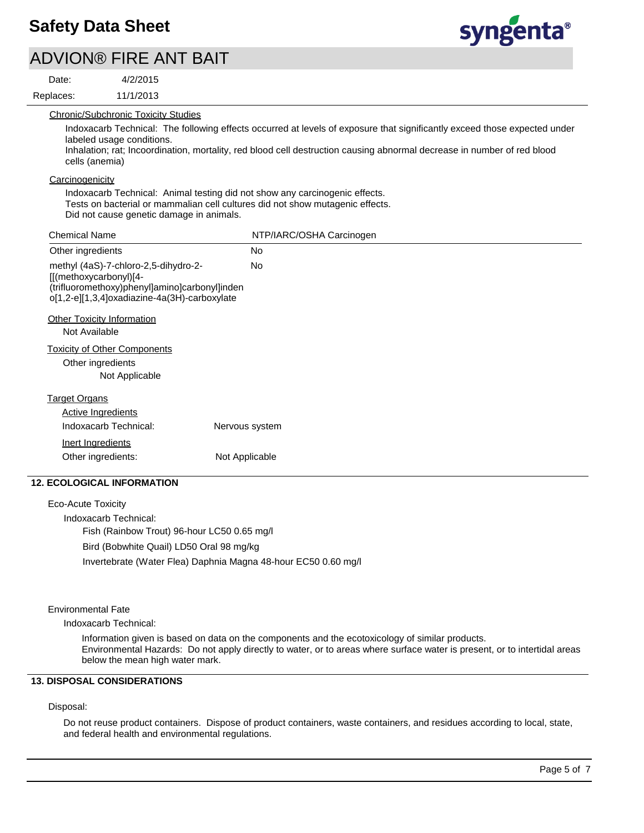ADVION® FIRE ANT BAIT

4/2/2015

11/1/2013 Replaces: Date:



Chronic/Subchronic Toxicity Studies

Indoxacarb Technical: The following effects occurred at levels of exposure that significantly exceed those expected under labeled usage conditions.

Inhalation; rat; Incoordination, mortality, red blood cell destruction causing abnormal decrease in number of red blood cells (anemia)

**Carcinogenicity** 

Indoxacarb Technical: Animal testing did not show any carcinogenic effects. Tests on bacterial or mammalian cell cultures did not show mutagenic effects. Did not cause genetic damage in animals.

| <b>Chemical Name</b>                                                                                                                                                     | NTP/IARC/OSHA Carcinogen |
|--------------------------------------------------------------------------------------------------------------------------------------------------------------------------|--------------------------|
| Other ingredients                                                                                                                                                        | <b>No</b>                |
| methyl (4aS)-7-chloro-2,5-dihydro-2-<br>$[(\text{methoxycarbonyl})[4 -$<br>(trifluoromethoxy)phenyl]amino]carbonyl]inden<br>o[1,2-e][1,3,4]oxadiazine-4a(3H)-carboxylate | No.                      |
| <b>Other Toxicity Information</b><br>Not Available                                                                                                                       |                          |
| <b>Toxicity of Other Components</b><br>Other ingredients<br>Not Applicable                                                                                               |                          |
| <u>Target Organs</u>                                                                                                                                                     |                          |
| <b>Active Ingredients</b>                                                                                                                                                |                          |
| Indoxacarb Technical:                                                                                                                                                    | Nervous system           |
| <b>Inert Ingredients</b>                                                                                                                                                 |                          |
| Other ingredients:                                                                                                                                                       | Not Applicable           |

## **12. ECOLOGICAL INFORMATION**

Eco-Acute Toxicity Indoxacarb Technical: Fish (Rainbow Trout) 96-hour LC50 0.65 mg/l Bird (Bobwhite Quail) LD50 Oral 98 mg/kg Invertebrate (Water Flea) Daphnia Magna 48-hour EC50 0.60 mg/l

#### Environmental Fate

Indoxacarb Technical:

Information given is based on data on the components and the ecotoxicology of similar products. Environmental Hazards: Do not apply directly to water, or to areas where surface water is present, or to intertidal areas below the mean high water mark.

## **13. DISPOSAL CONSIDERATIONS**

#### Disposal:

Do not reuse product containers. Dispose of product containers, waste containers, and residues according to local, state, and federal health and environmental regulations.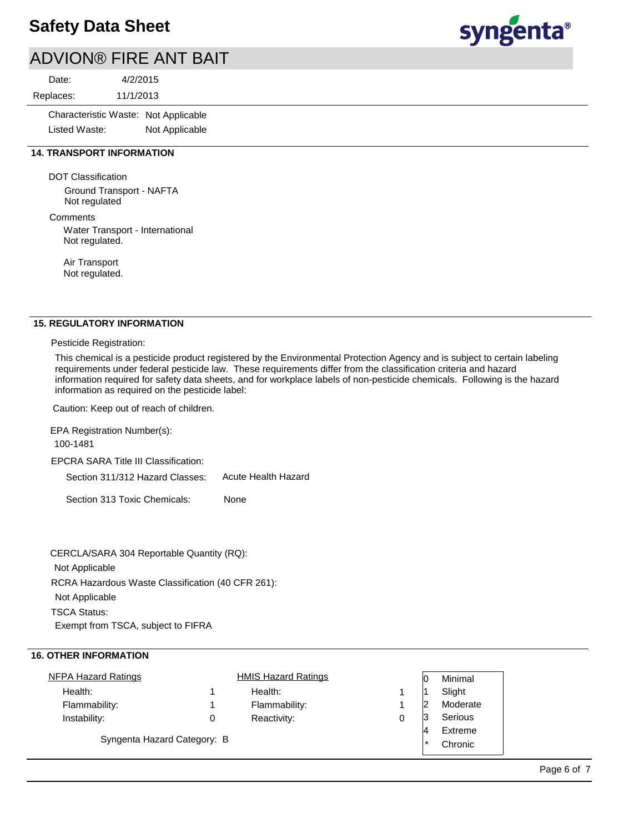# ADVION® FIRE ANT BAIT

11/1/2013 4/2/2015 Replaces: Date:

> Characteristic Waste: Not Applicable Listed Waste: Not Applicable

## **14. TRANSPORT INFORMATION**

DOT Classification

Ground Transport - NAFTA Not regulated

## **Comments**

Water Transport - International Not regulated.

Air Transport Not regulated.

## **15. REGULATORY INFORMATION**

Pesticide Registration:

This chemical is a pesticide product registered by the Environmental Protection Agency and is subject to certain labeling requirements under federal pesticide law. These requirements differ from the classification criteria and hazard information required for safety data sheets, and for workplace labels of non-pesticide chemicals. Following is the hazard information as required on the pesticide label:

Caution: Keep out of reach of children.

EPCRA SARA Title III Classification: Section 311/312 Hazard Classes: Section 313 Toxic Chemicals: EPA Registration Number(s): 100-1481 None Acute Health Hazard

RCRA Hazardous Waste Classification (40 CFR 261): Not Applicable TSCA Status: Exempt from TSCA, subject to FIFRA CERCLA/SARA 304 Reportable Quantity (RQ): Not Applicable

## **16. OTHER INFORMATION**

| <b>NFPA Hazard Ratings</b>  |   | <b>HMIS Hazard Ratings</b> |   | IC     | Minimal  |
|-----------------------------|---|----------------------------|---|--------|----------|
| Health:                     |   | Health:                    |   |        | Slight   |
| Flammability:               |   | Flammability:              |   | 12     | Moderate |
| Instability:                | 0 | Reactivity:                | 0 | 13     | Serious  |
|                             |   |                            |   | 4      | Extreme  |
| Syngenta Hazard Category: B |   |                            |   | $\ast$ | Chronic  |
|                             |   |                            |   |        |          |